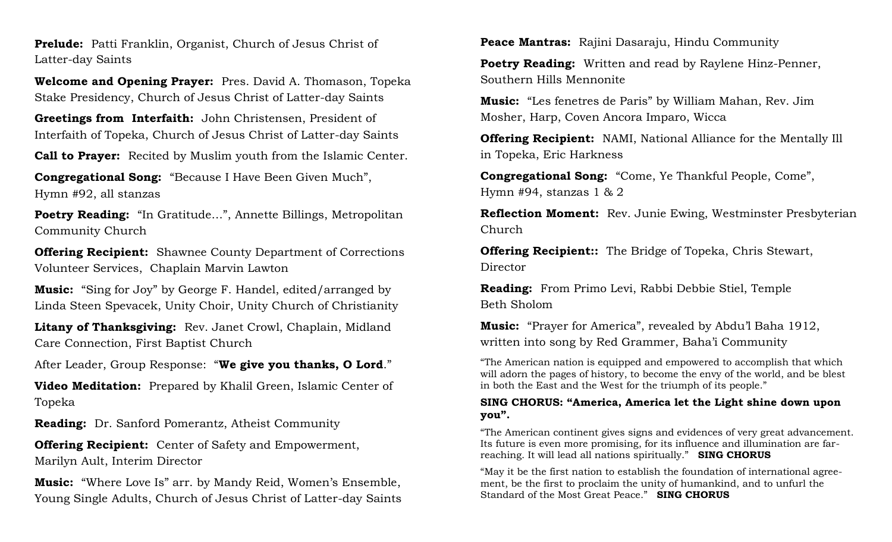**Prelude:** Patti Franklin, Organist, Church of Jesus Christ of Latter-day Saints

**Welcome and Opening Prayer:** Pres. David A. Thomason, Topeka Stake Presidency, Church of Jesus Christ of Latter-day Saints

**Greetings from Interfaith:** John Christensen, President of Interfaith of Topeka, Church of Jesus Christ of Latter-day Saints

**Call to Prayer:** Recited by Muslim youth from the Islamic Center.

**Congregational Song:** "Because I Have Been Given Much", Hymn #92, all stanzas

**Poetry Reading:** "In Gratitude…", Annette Billings, Metropolitan Community Church

**Offering Recipient:** Shawnee County Department of Corrections Volunteer Services, Chaplain Marvin Lawton

**Music:** "Sing for Joy" by George F. Handel, edited/arranged by Linda Steen Spevacek, Unity Choir, Unity Church of Christianity

**Litany of Thanksgiving:** Rev. Janet Crowl, Chaplain, Midland Care Connection, First Baptist Church

After Leader, Group Response: "**We give you thanks, O Lord**."

**Video Meditation:** Prepared by Khalil Green, Islamic Center of Topeka

**Reading:** Dr. Sanford Pomerantz, Atheist Community

**Offering Recipient:** Center of Safety and Empowerment, Marilyn Ault, Interim Director

**Music:** "Where Love Is" arr. by Mandy Reid, Women's Ensemble, Young Single Adults, Church of Jesus Christ of Latter-day Saints **Peace Mantras:** Rajini Dasaraju, Hindu Community

**Poetry Reading:** Written and read by Raylene Hinz-Penner, Southern Hills Mennonite

**Music:** "Les fenetres de Paris" by William Mahan, Rev. Jim Mosher, Harp, Coven Ancora Imparo, Wicca

**Offering Recipient:** NAMI, National Alliance for the Mentally Ill in Topeka, Eric Harkness

**Congregational Song:** "Come, Ye Thankful People, Come", Hymn #94, stanzas 1 & 2

**Reflection Moment:** Rev. Junie Ewing, Westminster Presbyterian Church

**Offering Recipient::** The Bridge of Topeka, Chris Stewart, Director

**Reading:** From Primo Levi, Rabbi Debbie Stiel, Temple Beth Sholom

**Music:** "Prayer for America", revealed by Abdu'l Baha 1912, written into song by Red Grammer, Baha'i Community

"The American nation is equipped and empowered to accomplish that which will adorn the pages of history, to become the envy of the world, and be blest in both the East and the West for the triumph of its people."

#### **SING CHORUS: "America, America let the Light shine down upon you".**

"The American continent gives signs and evidences of very great advancement. Its future is even more promising, for its influence and illumination are farreaching. It will lead all nations spiritually." **SING CHORUS**

"May it be the first nation to establish the foundation of international agreement, be the first to proclaim the unity of humankind, and to unfurl the Standard of the Most Great Peace." **SING CHORUS**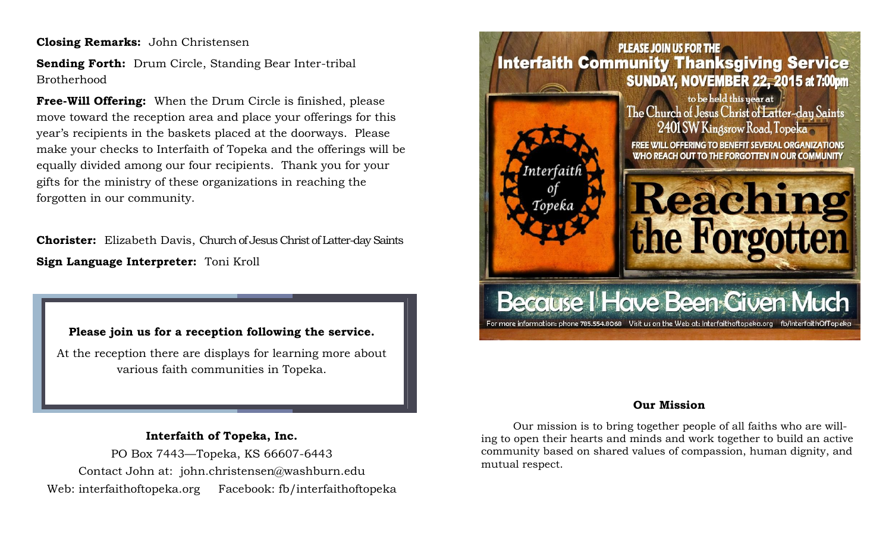**Closing Remarks:** John Christensen

**Sending Forth:** Drum Circle, Standing Bear Inter-tribal Brotherhood

**Free-Will Offering:** When the Drum Circle is finished, please move toward the reception area and place your offerings for this year's recipients in the baskets placed at the doorways. Please make your checks to Interfaith of Topeka and the offerings will be equally divided among our four recipients. Thank you for your gifts for the ministry of these organizations in reaching the forgotten in our community.

**Chorister:** Elizabeth Davis, Church of Jesus Christ of Latter-day Saints **Sign Language Interpreter:** Toni Kroll

**Please join us for a reception following the service.** 

At the reception there are displays for learning more about various faith communities in Topeka.

**Interfaith of Topeka, Inc.** PO Box 7443—Topeka, KS 66607-6443 Contact John at: john.christensen@washburn.edu Web: interfaithoftopeka.org Facebook: fb/interfaithoftopeka



### **Our Mission**

Our mission is to bring together people of all faiths who are willing to open their hearts and minds and work together to build an active community based on shared values of compassion, human dignity, and mutual respect.